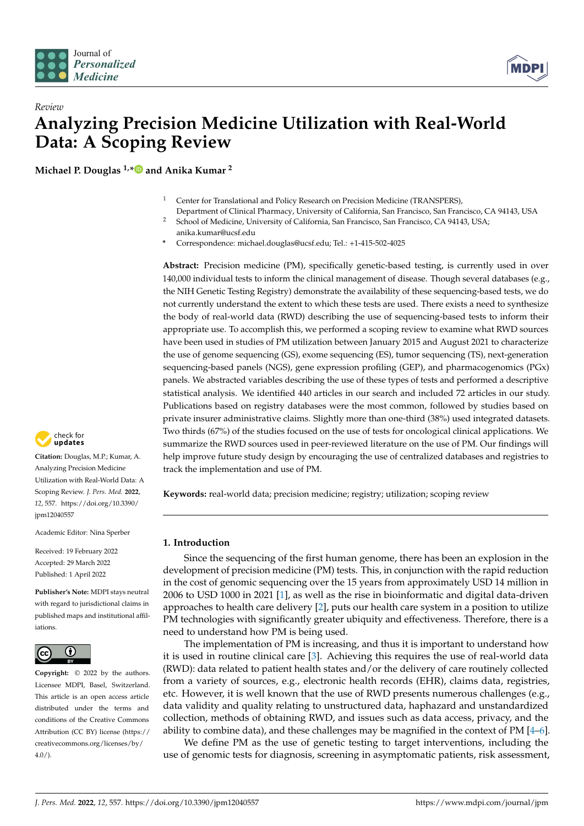



# *Review* **Analyzing Precision Medicine Utilization with Real-World Data: A Scoping Review**

**Michael P. Douglas 1,[\\*](https://orcid.org/0000-0001-8517-6678) and Anika Kumar <sup>2</sup>**

- <sup>1</sup> Center for Translational and Policy Research on Precision Medicine (TRANSPERS), Department of Clinical Pharmacy, University of California, San Francisco, San Francisco, CA 94143, USA
- <sup>2</sup> School of Medicine, University of California, San Francisco, San Francisco, CA 94143, USA; anika.kumar@ucsf.edu
- **\*** Correspondence: michael.douglas@ucsf.edu; Tel.: +1-415-502-4025

**Abstract:** Precision medicine (PM), specifically genetic-based testing, is currently used in over 140,000 individual tests to inform the clinical management of disease. Though several databases (e.g., the NIH Genetic Testing Registry) demonstrate the availability of these sequencing-based tests, we do not currently understand the extent to which these tests are used. There exists a need to synthesize the body of real-world data (RWD) describing the use of sequencing-based tests to inform their appropriate use. To accomplish this, we performed a scoping review to examine what RWD sources have been used in studies of PM utilization between January 2015 and August 2021 to characterize the use of genome sequencing (GS), exome sequencing (ES), tumor sequencing (TS), next-generation sequencing-based panels (NGS), gene expression profiling (GEP), and pharmacogenomics (PGx) panels. We abstracted variables describing the use of these types of tests and performed a descriptive statistical analysis. We identified 440 articles in our search and included 72 articles in our study. Publications based on registry databases were the most common, followed by studies based on private insurer administrative claims. Slightly more than one-third (38%) used integrated datasets. Two thirds (67%) of the studies focused on the use of tests for oncological clinical applications. We summarize the RWD sources used in peer-reviewed literature on the use of PM. Our findings will help improve future study design by encouraging the use of centralized databases and registries to track the implementation and use of PM.

**Keywords:** real-world data; precision medicine; registry; utilization; scoping review

## **1. Introduction**

Since the sequencing of the first human genome, there has been an explosion in the development of precision medicine (PM) tests. This, in conjunction with the rapid reduction in the cost of genomic sequencing over the 15 years from approximately USD 14 million in 2006 to USD 1000 in 2021 [\[1\]](#page-5-0), as well as the rise in bioinformatic and digital data-driven approaches to health care delivery [\[2\]](#page-5-1), puts our health care system in a position to utilize PM technologies with significantly greater ubiquity and effectiveness. Therefore, there is a need to understand how PM is being used.

The implementation of PM is increasing, and thus it is important to understand how it is used in routine clinical care [\[3\]](#page-5-2). Achieving this requires the use of real-world data (RWD): data related to patient health states and/or the delivery of care routinely collected from a variety of sources, e.g., electronic health records (EHR), claims data, registries, etc. However, it is well known that the use of RWD presents numerous challenges (e.g., data validity and quality relating to unstructured data, haphazard and unstandardized collection, methods of obtaining RWD, and issues such as data access, privacy, and the ability to combine data), and these challenges may be magnified in the context of PM [\[4](#page-5-3)[–6\]](#page-5-4).

We define PM as the use of genetic testing to target interventions, including the use of genomic tests for diagnosis, screening in asymptomatic patients, risk assessment,



**Citation:** Douglas, M.P.; Kumar, A. Analyzing Precision Medicine Utilization with Real-World Data: A Scoping Review. *J. Pers. Med.* **2022**, *12*, 557. [https://doi.org/10.3390/](https://doi.org/10.3390/jpm12040557) [jpm12040557](https://doi.org/10.3390/jpm12040557)

Academic Editor: Nina Sperber

Received: 19 February 2022 Accepted: 29 March 2022 Published: 1 April 2022

**Publisher's Note:** MDPI stays neutral with regard to jurisdictional claims in published maps and institutional affiliations.



**Copyright:** © 2022 by the authors. Licensee MDPI, Basel, Switzerland. This article is an open access article distributed under the terms and conditions of the Creative Commons Attribution (CC BY) license [\(https://](https://creativecommons.org/licenses/by/4.0/) [creativecommons.org/licenses/by/](https://creativecommons.org/licenses/by/4.0/)  $4.0/$ ).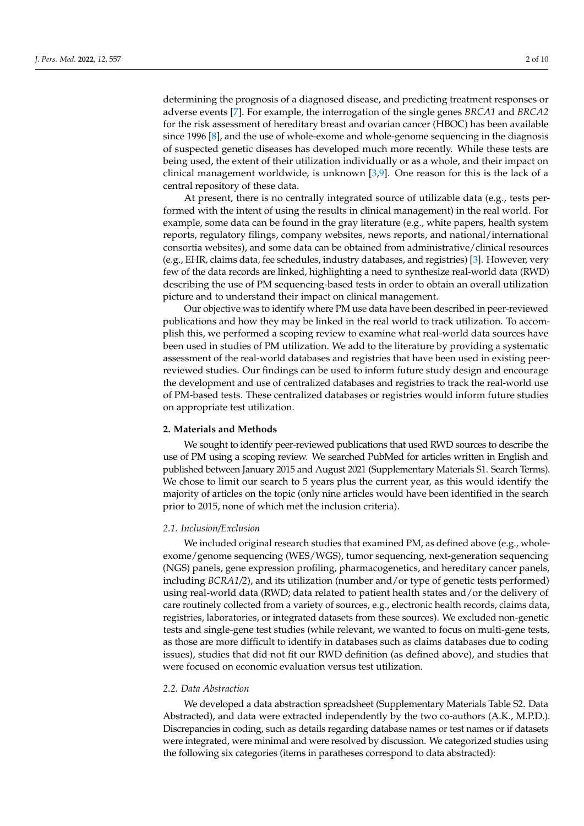determining the prognosis of a diagnosed disease, and predicting treatment responses or adverse events [\[7\]](#page-5-5). For example, the interrogation of the single genes *BRCA1* and *BRCA2* for the risk assessment of hereditary breast and ovarian cancer (HBOC) has been available since 1996 [\[8\]](#page-6-0), and the use of whole-exome and whole-genome sequencing in the diagnosis of suspected genetic diseases has developed much more recently. While these tests are being used, the extent of their utilization individually or as a whole, and their impact on clinical management worldwide, is unknown [\[3,](#page-5-2)[9\]](#page-6-1). One reason for this is the lack of a central repository of these data.

At present, there is no centrally integrated source of utilizable data (e.g., tests performed with the intent of using the results in clinical management) in the real world. For example, some data can be found in the gray literature (e.g., white papers, health system reports, regulatory filings, company websites, news reports, and national/international consortia websites), and some data can be obtained from administrative/clinical resources (e.g., EHR, claims data, fee schedules, industry databases, and registries) [\[3\]](#page-5-2). However, very few of the data records are linked, highlighting a need to synthesize real-world data (RWD) describing the use of PM sequencing-based tests in order to obtain an overall utilization picture and to understand their impact on clinical management.

Our objective was to identify where PM use data have been described in peer-reviewed publications and how they may be linked in the real world to track utilization. To accomplish this, we performed a scoping review to examine what real-world data sources have been used in studies of PM utilization. We add to the literature by providing a systematic assessment of the real-world databases and registries that have been used in existing peerreviewed studies. Our findings can be used to inform future study design and encourage the development and use of centralized databases and registries to track the real-world use of PM-based tests. These centralized databases or registries would inform future studies on appropriate test utilization.

### **2. Materials and Methods**

We sought to identify peer-reviewed publications that used RWD sources to describe the use of PM using a scoping review. We searched PubMed for articles written in English and published between January 2015 and August 2021 (Supplementary Materials S1. Search Terms). We chose to limit our search to 5 years plus the current year, as this would identify the majority of articles on the topic (only nine articles would have been identified in the search prior to 2015, none of which met the inclusion criteria).

### *2.1. Inclusion/Exclusion*

We included original research studies that examined PM, as defined above (e.g., wholeexome/genome sequencing (WES/WGS), tumor sequencing, next-generation sequencing (NGS) panels, gene expression profiling, pharmacogenetics, and hereditary cancer panels, including *BCRA1/2*), and its utilization (number and/or type of genetic tests performed) using real-world data (RWD; data related to patient health states and/or the delivery of care routinely collected from a variety of sources, e.g., electronic health records, claims data, registries, laboratories, or integrated datasets from these sources). We excluded non-genetic tests and single-gene test studies (while relevant, we wanted to focus on multi-gene tests, as those are more difficult to identify in databases such as claims databases due to coding issues), studies that did not fit our RWD definition (as defined above), and studies that were focused on economic evaluation versus test utilization.

### *2.2. Data Abstraction*

We developed a data abstraction spreadsheet (Supplementary Materials Table S2. Data Abstracted), and data were extracted independently by the two co-authors (A.K., M.P.D.). Discrepancies in coding, such as details regarding database names or test names or if datasets were integrated, were minimal and were resolved by discussion. We categorized studies using the following six categories (items in paratheses correspond to data abstracted):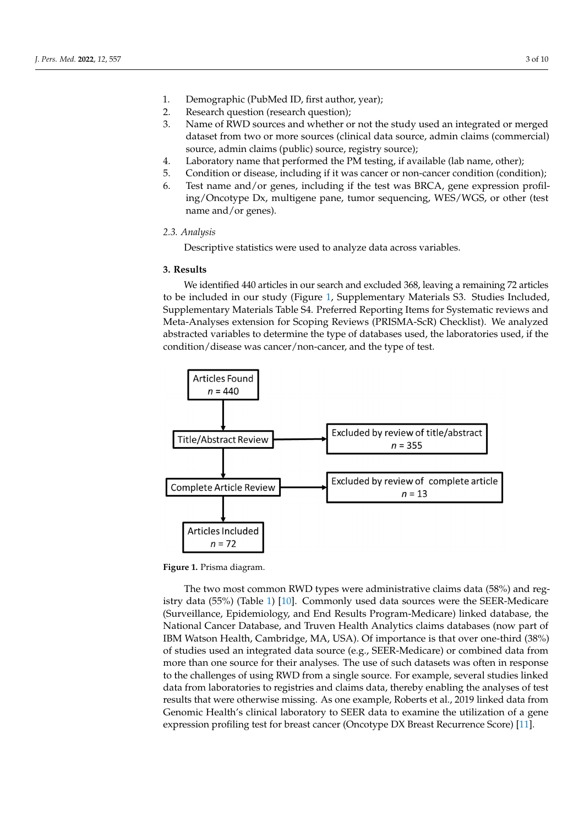- 1. Demographic (PubMed ID, first author, year); 1. Demographic (PubMed ID, first author, year);
- 2. Research question (research question); 2. Research question (research question);
- 3. Name of RWD sources and whether or not the study used an integrated or merged 3. Name of RWD sources and whether or not the study used an integrated or merged dataset from two or more sources (clinical data source, admin claims (commercial) dataset from two or more sources (clinical data source, admin claims (commercial) source, admin claims (public) source, registry source); source, admin claims (public) source, registry source);
- 4. Laboratory name that performed the PM testing, if available (lab name, other); 4. Laboratory name that performed the PM testing, if available (lab name, other);
- 5. Condition or disease, including if it was cancer or non-cancer condition (condition); 5. Condition or disease, including if it was cancer or non-cancer condition (condition);
- 6. Test name and/or genes, including if the test was BRCA, gene expression profil-6. Test name and/or genes, including if the test was BRCA, gene expression profiling/Oncotype Dx, multigene pane, tumor sequencing, WES/WGS, or other (test ing/Oncotype Dx, multigene pane, tumor sequencing, WES/WGS, or other (test name name and/or genes).

### *2.3. Analysis 2.3. Analysis*

Descriptive statistics were used to analyze data across variables. Descriptive statistics were used to analyze data across variables.

# **3. Results 3. Results**

We identified 440 articles in our search and excluded 368, leaving a remaining 72 articles We identified 440 articles in our search and excluded 368, leaving a remaining 72 to be included in our study (Figure [1,](#page-2-0) Supplementary Materials S3. Studies Included, Supplementary Materials Table S4. Preferred Reporting Items for Systematic reviews and Meta-Analyses extension for Scoping Reviews (PRISMA-ScR) Checklist). We analyzed abstracted variables to determine the type of databases used, the laboratories used, if the condition/disease was cancer/non-cancer, and the type of test.

<span id="page-2-0"></span>

**Figure 1.** Prisma diagram. **Figure 1.** Prisma diagram.

The two most common RWD types were administrative claims data (58%) and reg-istry data (55%) (Table [1\)](#page-3-0) [\[10\]](#page-6-2). Commonly used data sources were the SEER-Medicare (Surveillance, Epidemiology, and End Results Program-Medicare) linked database, the National Cancer Database, and Truven Health Analytics claims databases (now part of IBM  $\overline{S}$ IBM Watson Health, Cambridge, MA, USA). Of importance is that over one-third (38%) of importance is that over one-third (38%) of studies used an integrated data source (e.g., SEER-Medicare) or combined data from more than one source for their analyses. The use of such datasets was often in response to the the more for the more for the more for the more for the more for the more for the more for the more for the more for the more f to the challenges of using RWD from a single source. For example, several studies linked by the challenges of using RWD from a single source. For example, several studies linked data from laboratories to registries and claims data, thereby enabling the analyses of test results of test results of test results of test results of test results of test results of test results of the analysis of test re results that were otherwise missing. As one example, Roberts et al., 2019 linked data from  $\epsilon$ Genomic Health's clinical laboratory to SEER data to examine the utilization of a gene expression profiling test for breast cancer (Oncotype DX Breast Recurrence Score) [\[11\]](#page-6-3).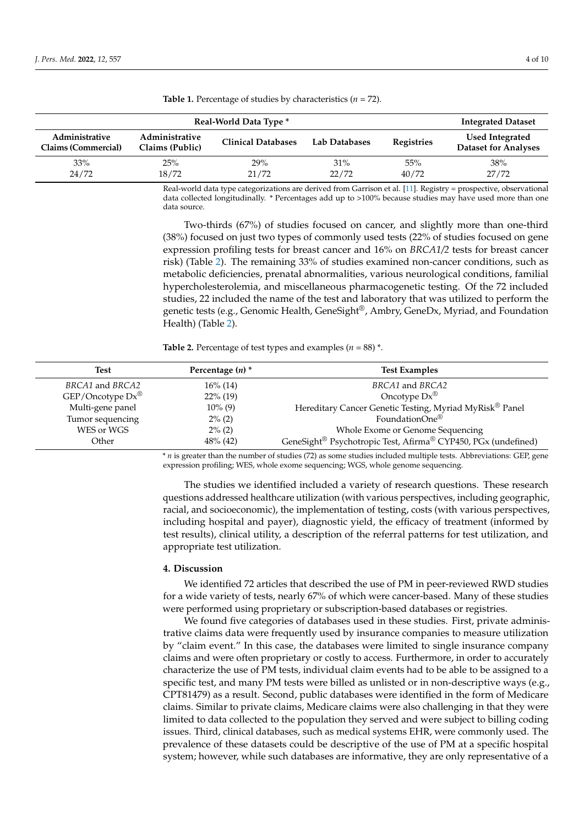| Real-World Data Type *                       |                                   |                           |               |                   | <b>Integrated Dataset</b>                             |
|----------------------------------------------|-----------------------------------|---------------------------|---------------|-------------------|-------------------------------------------------------|
| Administrative<br><b>Claims (Commercial)</b> | Administrative<br>Claims (Public) | <b>Clinical Databases</b> | Lab Databases | <b>Registries</b> | <b>Used Integrated</b><br><b>Dataset for Analyses</b> |
| 33%<br>24/72                                 | 25%<br>18/72                      | 29%<br>21/72              | 31%<br>22/72  | 55%<br>40/72      | 38%<br>27/72                                          |

<span id="page-3-0"></span>**Table 1.** Percentage of studies by characteristics (*n* = 72).

Real-world data type categorizations are derived from Garrison et al. [\[11\]](#page-6-3). Registry = prospective, observational data collected longitudinally. \* Percentages add up to >100% because studies may have used more than one data source.

Two-thirds (67%) of studies focused on cancer, and slightly more than one-third (38%) focused on just two types of commonly used tests (22% of studies focused on gene expression profiling tests for breast cancer and 16% on *BRCA1/2* tests for breast cancer risk) (Table [2\)](#page-3-1). The remaining 33% of studies examined non-cancer conditions, such as metabolic deficiencies, prenatal abnormalities, various neurological conditions, familial hypercholesterolemia, and miscellaneous pharmacogenetic testing. Of the 72 included studies, 22 included the name of the test and laboratory that was utilized to perform the genetic tests (e.g., Genomic Health, GeneSight®, Ambry, GeneDx, Myriad, and Foundation Health) (Table [2\)](#page-3-1).

<span id="page-3-1"></span>**Table 2.** Percentage of test types and examples  $(n = 88)$  \*.

| <b>Test</b>                 | Percentage $(n)$ * | <b>Test Examples</b>                                          |
|-----------------------------|--------------------|---------------------------------------------------------------|
| BRCA1 and BRCA2             | 16% (14)           | BRCA1 and BRCA2                                               |
| GF/Oncotype Dx <sup>®</sup> | $22\%$ (19)        | Oncotype $Dx^{\circledR}$                                     |
| Multi-gene panel            | $10\%$ (9)         | Hereditary Cancer Genetic Testing, Myriad MyRisk® Panel       |
| Tumor sequencing            | $2\%$ (2)          | FoundationOne®                                                |
| WES or WGS                  | $2\%$ (2)          | Whole Exome or Genome Sequencing                              |
| Other                       | $48\%$ (42)        | GeneSight® Psychotropic Test, Afirma® CYP450, PGx (undefined) |

\* *n* is greater than the number of studies (72) as some studies included multiple tests. Abbreviations: GEP, gene expression profiling; WES, whole exome sequencing; WGS, whole genome sequencing.

The studies we identified included a variety of research questions. These research questions addressed healthcare utilization (with various perspectives, including geographic, racial, and socioeconomic), the implementation of testing, costs (with various perspectives, including hospital and payer), diagnostic yield, the efficacy of treatment (informed by test results), clinical utility, a description of the referral patterns for test utilization, and appropriate test utilization.

### **4. Discussion**

We identified 72 articles that described the use of PM in peer-reviewed RWD studies for a wide variety of tests, nearly 67% of which were cancer-based. Many of these studies were performed using proprietary or subscription-based databases or registries.

We found five categories of databases used in these studies. First, private administrative claims data were frequently used by insurance companies to measure utilization by "claim event." In this case, the databases were limited to single insurance company claims and were often proprietary or costly to access. Furthermore, in order to accurately characterize the use of PM tests, individual claim events had to be able to be assigned to a specific test, and many PM tests were billed as unlisted or in non-descriptive ways (e.g., CPT81479) as a result. Second, public databases were identified in the form of Medicare claims. Similar to private claims, Medicare claims were also challenging in that they were limited to data collected to the population they served and were subject to billing coding issues. Third, clinical databases, such as medical systems EHR, were commonly used. The prevalence of these datasets could be descriptive of the use of PM at a specific hospital system; however, while such databases are informative, they are only representative of a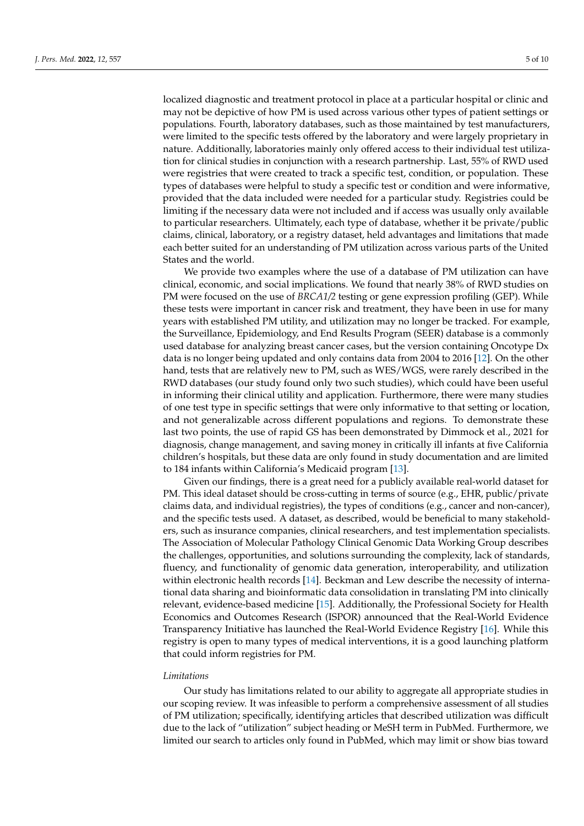localized diagnostic and treatment protocol in place at a particular hospital or clinic and may not be depictive of how PM is used across various other types of patient settings or populations. Fourth, laboratory databases, such as those maintained by test manufacturers, were limited to the specific tests offered by the laboratory and were largely proprietary in nature. Additionally, laboratories mainly only offered access to their individual test utilization for clinical studies in conjunction with a research partnership. Last, 55% of RWD used were registries that were created to track a specific test, condition, or population. These types of databases were helpful to study a specific test or condition and were informative, provided that the data included were needed for a particular study. Registries could be limiting if the necessary data were not included and if access was usually only available to particular researchers. Ultimately, each type of database, whether it be private/public claims, clinical, laboratory, or a registry dataset, held advantages and limitations that made each better suited for an understanding of PM utilization across various parts of the United States and the world.

We provide two examples where the use of a database of PM utilization can have clinical, economic, and social implications. We found that nearly 38% of RWD studies on PM were focused on the use of *BRCA1/2* testing or gene expression profiling (GEP). While these tests were important in cancer risk and treatment, they have been in use for many years with established PM utility, and utilization may no longer be tracked. For example, the Surveillance, Epidemiology, and End Results Program (SEER) database is a commonly used database for analyzing breast cancer cases, but the version containing Oncotype Dx data is no longer being updated and only contains data from 2004 to 2016 [\[12\]](#page-6-4). On the other hand, tests that are relatively new to PM, such as WES/WGS, were rarely described in the RWD databases (our study found only two such studies), which could have been useful in informing their clinical utility and application. Furthermore, there were many studies of one test type in specific settings that were only informative to that setting or location, and not generalizable across different populations and regions. To demonstrate these last two points, the use of rapid GS has been demonstrated by Dimmock et al., 2021 for diagnosis, change management, and saving money in critically ill infants at five California children's hospitals, but these data are only found in study documentation and are limited to 184 infants within California's Medicaid program [\[13\]](#page-6-5).

Given our findings, there is a great need for a publicly available real-world dataset for PM. This ideal dataset should be cross-cutting in terms of source (e.g., EHR, public/private claims data, and individual registries), the types of conditions (e.g., cancer and non-cancer), and the specific tests used. A dataset, as described, would be beneficial to many stakeholders, such as insurance companies, clinical researchers, and test implementation specialists. The Association of Molecular Pathology Clinical Genomic Data Working Group describes the challenges, opportunities, and solutions surrounding the complexity, lack of standards, fluency, and functionality of genomic data generation, interoperability, and utilization within electronic health records [\[14\]](#page-6-6). Beckman and Lew describe the necessity of international data sharing and bioinformatic data consolidation in translating PM into clinically relevant, evidence-based medicine [\[15\]](#page-6-7). Additionally, the Professional Society for Health Economics and Outcomes Research (ISPOR) announced that the Real-World Evidence Transparency Initiative has launched the Real-World Evidence Registry [\[16\]](#page-6-8). While this registry is open to many types of medical interventions, it is a good launching platform that could inform registries for PM.

#### *Limitations*

Our study has limitations related to our ability to aggregate all appropriate studies in our scoping review. It was infeasible to perform a comprehensive assessment of all studies of PM utilization; specifically, identifying articles that described utilization was difficult due to the lack of "utilization" subject heading or MeSH term in PubMed. Furthermore, we limited our search to articles only found in PubMed, which may limit or show bias toward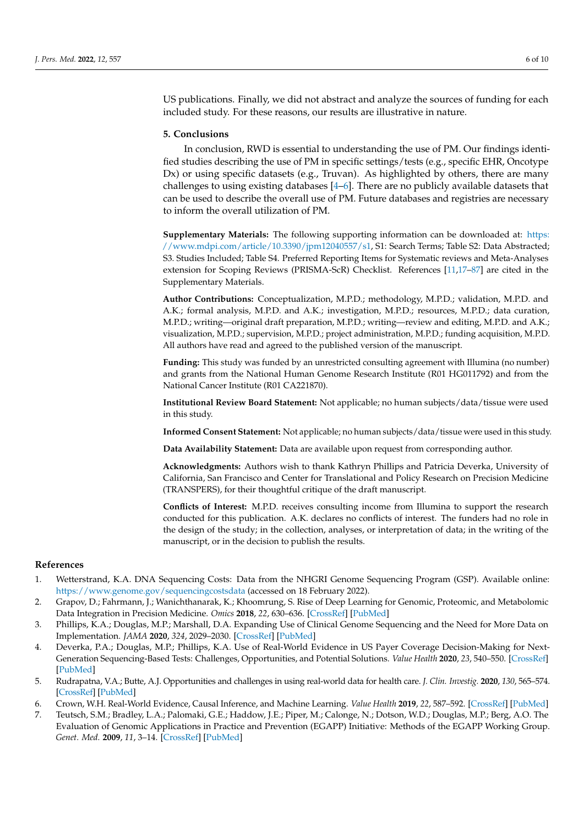US publications. Finally, we did not abstract and analyze the sources of funding for each included study. For these reasons, our results are illustrative in nature.

### **5. Conclusions**

In conclusion, RWD is essential to understanding the use of PM. Our findings identified studies describing the use of PM in specific settings/tests (e.g., specific EHR, Oncotype Dx) or using specific datasets (e.g., Truvan). As highlighted by others, there are many challenges to using existing databases [\[4](#page-5-3)[–6\]](#page-5-4). There are no publicly available datasets that can be used to describe the overall use of PM. Future databases and registries are necessary to inform the overall utilization of PM.

**Supplementary Materials:** The following supporting information can be downloaded at: [https:](https://www.mdpi.com/article/10.3390/jpm12040557/s1) [//www.mdpi.com/article/10.3390/jpm12040557/s1,](https://www.mdpi.com/article/10.3390/jpm12040557/s1) S1: Search Terms; Table S2: Data Abstracted; S3. Studies Included; Table S4. Preferred Reporting Items for Systematic reviews and Meta-Analyses extension for Scoping Reviews (PRISMA-ScR) Checklist. References [\[11](#page-6-3)[,17–](#page-6-9)[87\]](#page-9-0) are cited in the Supplementary Materials.

**Author Contributions:** Conceptualization, M.P.D.; methodology, M.P.D.; validation, M.P.D. and A.K.; formal analysis, M.P.D. and A.K.; investigation, M.P.D.; resources, M.P.D.; data curation, M.P.D.; writing—original draft preparation, M.P.D.; writing—review and editing, M.P.D. and A.K.; visualization, M.P.D.; supervision, M.P.D.; project administration, M.P.D.; funding acquisition, M.P.D. All authors have read and agreed to the published version of the manuscript.

**Funding:** This study was funded by an unrestricted consulting agreement with Illumina (no number) and grants from the National Human Genome Research Institute (R01 HG011792) and from the National Cancer Institute (R01 CA221870).

**Institutional Review Board Statement:** Not applicable; no human subjects/data/tissue were used in this study.

**Informed Consent Statement:** Not applicable; no human subjects/data/tissue were used in this study.

**Data Availability Statement:** Data are available upon request from corresponding author.

**Acknowledgments:** Authors wish to thank Kathryn Phillips and Patricia Deverka, University of California, San Francisco and Center for Translational and Policy Research on Precision Medicine (TRANSPERS), for their thoughtful critique of the draft manuscript.

**Conflicts of Interest:** M.P.D. receives consulting income from Illumina to support the research conducted for this publication. A.K. declares no conflicts of interest. The funders had no role in the design of the study; in the collection, analyses, or interpretation of data; in the writing of the manuscript, or in the decision to publish the results.

# **References**

- <span id="page-5-0"></span>1. Wetterstrand, K.A. DNA Sequencing Costs: Data from the NHGRI Genome Sequencing Program (GSP). Available online: <https://www.genome.gov/sequencingcostsdata> (accessed on 18 February 2022).
- <span id="page-5-1"></span>2. Grapov, D.; Fahrmann, J.; Wanichthanarak, K.; Khoomrung, S. Rise of Deep Learning for Genomic, Proteomic, and Metabolomic Data Integration in Precision Medicine. *Omics* **2018**, *22*, 630–636. [\[CrossRef\]](http://doi.org/10.1089/omi.2018.0097) [\[PubMed\]](http://www.ncbi.nlm.nih.gov/pubmed/30124358)
- <span id="page-5-2"></span>3. Phillips, K.A.; Douglas, M.P.; Marshall, D.A. Expanding Use of Clinical Genome Sequencing and the Need for More Data on Implementation. *JAMA* **2020**, *324*, 2029–2030. [\[CrossRef\]](http://doi.org/10.1001/jama.2020.19933) [\[PubMed\]](http://www.ncbi.nlm.nih.gov/pubmed/33104159)
- <span id="page-5-3"></span>4. Deverka, P.A.; Douglas, M.P.; Phillips, K.A. Use of Real-World Evidence in US Payer Coverage Decision-Making for Next-Generation Sequencing-Based Tests: Challenges, Opportunities, and Potential Solutions. *Value Health* **2020**, *23*, 540–550. [\[CrossRef\]](http://doi.org/10.1016/j.jval.2020.02.001) [\[PubMed\]](http://www.ncbi.nlm.nih.gov/pubmed/32389218)
- 5. Rudrapatna, V.A.; Butte, A.J. Opportunities and challenges in using real-world data for health care. *J. Clin. Investig.* **2020**, *130*, 565–574. [\[CrossRef\]](http://doi.org/10.1172/JCI129197) [\[PubMed\]](http://www.ncbi.nlm.nih.gov/pubmed/32011317)
- <span id="page-5-4"></span>6. Crown, W.H. Real-World Evidence, Causal Inference, and Machine Learning. *Value Health* **2019**, *22*, 587–592. [\[CrossRef\]](http://doi.org/10.1016/j.jval.2019.03.001) [\[PubMed\]](http://www.ncbi.nlm.nih.gov/pubmed/31104739)
- <span id="page-5-5"></span>7. Teutsch, S.M.; Bradley, L.A.; Palomaki, G.E.; Haddow, J.E.; Piper, M.; Calonge, N.; Dotson, W.D.; Douglas, M.P.; Berg, A.O. The Evaluation of Genomic Applications in Practice and Prevention (EGAPP) Initiative: Methods of the EGAPP Working Group. *Genet. Med.* **2009**, *11*, 3–14. [\[CrossRef\]](http://doi.org/10.1097/GIM.0b013e318184137c) [\[PubMed\]](http://www.ncbi.nlm.nih.gov/pubmed/18813139)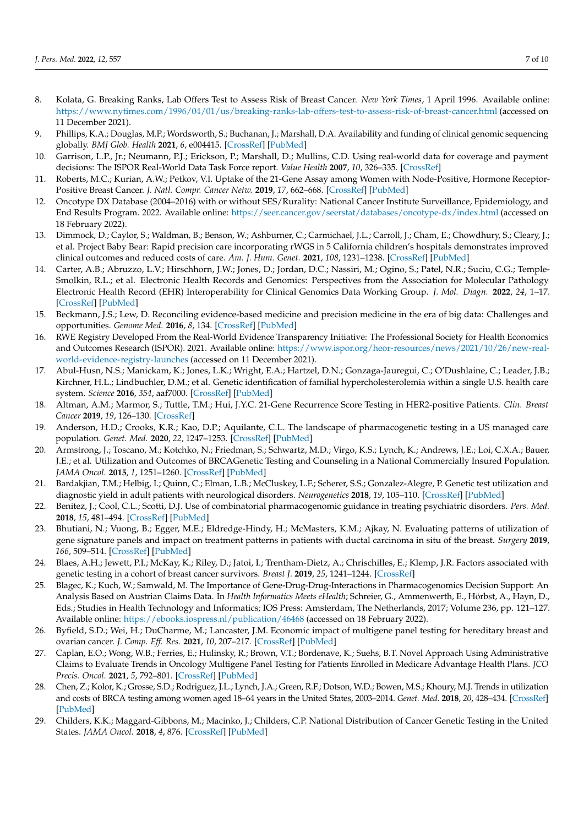- <span id="page-6-0"></span>8. Kolata, G. Breaking Ranks, Lab Offers Test to Assess Risk of Breast Cancer. *New York Times*, 1 April 1996. Available online: <https://www.nytimes.com/1996/04/01/us/breaking-ranks-lab-offers-test-to-assess-risk-of-breast-cancer.html> (accessed on 11 December 2021).
- <span id="page-6-1"></span>9. Phillips, K.A.; Douglas, M.P.; Wordsworth, S.; Buchanan, J.; Marshall, D.A. Availability and funding of clinical genomic sequencing globally. *BMJ Glob. Health* **2021**, *6*, e004415. [\[CrossRef\]](http://doi.org/10.1136/bmjgh-2020-004415) [\[PubMed\]](http://www.ncbi.nlm.nih.gov/pubmed/33574068)
- <span id="page-6-2"></span>10. Garrison, L.P., Jr.; Neumann, P.J.; Erickson, P.; Marshall, D.; Mullins, C.D. Using real-world data for coverage and payment decisions: The ISPOR Real-World Data Task Force report. *Value Health* **2007**, *10*, 326–335. [\[CrossRef\]](http://doi.org/10.1111/j.1524-4733.2007.00186.x)
- <span id="page-6-3"></span>11. Roberts, M.C.; Kurian, A.W.; Petkov, V.I. Uptake of the 21-Gene Assay among Women with Node-Positive, Hormone Receptor-Positive Breast Cancer. *J. Natl. Compr. Cancer Netw.* **2019**, *17*, 662–668. [\[CrossRef\]](http://doi.org/10.6004/jnccn.2018.7266) [\[PubMed\]](http://www.ncbi.nlm.nih.gov/pubmed/31200352)
- <span id="page-6-4"></span>12. Oncotype DX Database (2004–2016) with or without SES/Rurality: National Cancer Institute Surveillance, Epidemiology, and End Results Program. 2022. Available online: <https://seer.cancer.gov/seerstat/databases/oncotype-dx/index.html> (accessed on 18 February 2022).
- <span id="page-6-5"></span>13. Dimmock, D.; Caylor, S.; Waldman, B.; Benson, W.; Ashburner, C.; Carmichael, J.L.; Carroll, J.; Cham, E.; Chowdhury, S.; Cleary, J.; et al. Project Baby Bear: Rapid precision care incorporating rWGS in 5 California children's hospitals demonstrates improved clinical outcomes and reduced costs of care. *Am. J. Hum. Genet.* **2021**, *108*, 1231–1238. [\[CrossRef\]](http://doi.org/10.1016/j.ajhg.2021.05.008) [\[PubMed\]](http://www.ncbi.nlm.nih.gov/pubmed/34089648)
- <span id="page-6-6"></span>14. Carter, A.B.; Abruzzo, L.V.; Hirschhorn, J.W.; Jones, D.; Jordan, D.C.; Nassiri, M.; Ogino, S.; Patel, N.R.; Suciu, C.G.; Temple-Smolkin, R.L.; et al. Electronic Health Records and Genomics: Perspectives from the Association for Molecular Pathology Electronic Health Record (EHR) Interoperability for Clinical Genomics Data Working Group. *J. Mol. Diagn.* **2022**, *24*, 1–17. [\[CrossRef\]](http://doi.org/10.1016/j.jmoldx.2021.09.009) [\[PubMed\]](http://www.ncbi.nlm.nih.gov/pubmed/34656760)
- <span id="page-6-7"></span>15. Beckmann, J.S.; Lew, D. Reconciling evidence-based medicine and precision medicine in the era of big data: Challenges and opportunities. *Genome Med.* **2016**, *8*, 134. [\[CrossRef\]](http://doi.org/10.1186/s13073-016-0388-7) [\[PubMed\]](http://www.ncbi.nlm.nih.gov/pubmed/27993174)
- <span id="page-6-8"></span>16. RWE Registry Developed From the Real-World Evidence Transparency Initiative: The Professional Society for Health Economics and Outcomes Research (ISPOR). 2021. Available online: [https://www.ispor.org/heor-resources/news/2021/10/26/new-real](https://www.ispor.org/heor-resources/news/2021/10/26/new-real-world-evidence-registry-launches)[world-evidence-registry-launches](https://www.ispor.org/heor-resources/news/2021/10/26/new-real-world-evidence-registry-launches) (accessed on 11 December 2021).
- <span id="page-6-9"></span>17. Abul-Husn, N.S.; Manickam, K.; Jones, L.K.; Wright, E.A.; Hartzel, D.N.; Gonzaga-Jauregui, C.; O'Dushlaine, C.; Leader, J.B.; Kirchner, H.L.; Lindbuchler, D.M.; et al. Genetic identification of familial hypercholesterolemia within a single U.S. health care system. *Science* **2016**, *354*, aaf7000. [\[CrossRef\]](http://doi.org/10.1126/science.aaf7000) [\[PubMed\]](http://www.ncbi.nlm.nih.gov/pubmed/28008010)
- 18. Altman, A.M.; Marmor, S.; Tuttle, T.M.; Hui, J.Y.C. 21-Gene Recurrence Score Testing in HER2-positive Patients. *Clin. Breast Cancer* **2019**, *19*, 126–130. [\[CrossRef\]](http://doi.org/10.1016/j.clbc.2018.11.011)
- 19. Anderson, H.D.; Crooks, K.R.; Kao, D.P.; Aquilante, C.L. The landscape of pharmacogenetic testing in a US managed care population. *Genet. Med.* **2020**, *22*, 1247–1253. [\[CrossRef\]](http://doi.org/10.1038/s41436-020-0788-3) [\[PubMed\]](http://www.ncbi.nlm.nih.gov/pubmed/32291400)
- 20. Armstrong, J.; Toscano, M.; Kotchko, N.; Friedman, S.; Schwartz, M.D.; Virgo, K.S.; Lynch, K.; Andrews, J.E.; Loi, C.X.A.; Bauer, J.E.; et al. Utilization and Outcomes of BRCAGenetic Testing and Counseling in a National Commercially Insured Population. *JAMA Oncol.* **2015**, *1*, 1251–1260. [\[CrossRef\]](http://doi.org/10.1001/jamaoncol.2015.3048) [\[PubMed\]](http://www.ncbi.nlm.nih.gov/pubmed/26426480)
- 21. Bardakjian, T.M.; Helbig, I.; Quinn, C.; Elman, L.B.; McCluskey, L.F.; Scherer, S.S.; Gonzalez-Alegre, P. Genetic test utilization and diagnostic yield in adult patients with neurological disorders. *Neurogenetics* **2018**, *19*, 105–110. [\[CrossRef\]](http://doi.org/10.1007/s10048-018-0544-x) [\[PubMed\]](http://www.ncbi.nlm.nih.gov/pubmed/29589152)
- 22. Benitez, J.; Cool, C.L.; Scotti, D.J. Use of combinatorial pharmacogenomic guidance in treating psychiatric disorders. *Pers. Med.* **2018**, *15*, 481–494. [\[CrossRef\]](http://doi.org/10.2217/pme-2018-0074) [\[PubMed\]](http://www.ncbi.nlm.nih.gov/pubmed/30256179)
- 23. Bhutiani, N.; Vuong, B.; Egger, M.E.; Eldredge-Hindy, H.; McMasters, K.M.; Ajkay, N. Evaluating patterns of utilization of gene signature panels and impact on treatment patterns in patients with ductal carcinoma in situ of the breast. *Surgery* **2019**, *166*, 509–514. [\[CrossRef\]](http://doi.org/10.1016/j.surg.2019.04.044) [\[PubMed\]](http://www.ncbi.nlm.nih.gov/pubmed/31337506)
- 24. Blaes, A.H.; Jewett, P.I.; McKay, K.; Riley, D.; Jatoi, I.; Trentham-Dietz, A.; Chrischilles, E.; Klemp, J.R. Factors associated with genetic testing in a cohort of breast cancer survivors. *Breast J.* **2019**, *25*, 1241–1244. [\[CrossRef\]](http://doi.org/10.1111/tbj.13440)
- 25. Blagec, K.; Kuch, W.; Samwald, M. The Importance of Gene-Drug-Drug-Interactions in Pharmacogenomics Decision Support: An Analysis Based on Austrian Claims Data. In *Health Informatics Meets eHealth*; Schreier, G., Ammenwerth, E., Hörbst, A., Hayn, D., Eds.; Studies in Health Technology and Informatics; IOS Press: Amsterdam, The Netherlands, 2017; Volume 236, pp. 121–127. Available online: <https://ebooks.iospress.nl/publication/46468> (accessed on 18 February 2022).
- 26. Byfield, S.D.; Wei, H.; DuCharme, M.; Lancaster, J.M. Economic impact of multigene panel testing for hereditary breast and ovarian cancer. *J. Comp. Eff. Res.* **2021**, *10*, 207–217. [\[CrossRef\]](http://doi.org/10.2217/cer-2020-0192) [\[PubMed\]](http://www.ncbi.nlm.nih.gov/pubmed/33491479)
- 27. Caplan, E.O.; Wong, W.B.; Ferries, E.; Hulinsky, R.; Brown, V.T.; Bordenave, K.; Suehs, B.T. Novel Approach Using Administrative Claims to Evaluate Trends in Oncology Multigene Panel Testing for Patients Enrolled in Medicare Advantage Health Plans. *JCO Precis. Oncol.* **2021**, *5*, 792–801. [\[CrossRef\]](http://doi.org/10.1200/PO.20.00422) [\[PubMed\]](http://www.ncbi.nlm.nih.gov/pubmed/34036226)
- 28. Chen, Z.; Kolor, K.; Grosse, S.D.; Rodriguez, J.L.; Lynch, J.A.; Green, R.F.; Dotson, W.D.; Bowen, M.S.; Khoury, M.J. Trends in utilization and costs of BRCA testing among women aged 18–64 years in the United States, 2003–2014. *Genet. Med.* **2018**, *20*, 428–434. [\[CrossRef\]](http://doi.org/10.1038/gim.2017.118) [\[PubMed\]](http://www.ncbi.nlm.nih.gov/pubmed/28933789)
- 29. Childers, K.K.; Maggard-Gibbons, M.; Macinko, J.; Childers, C.P. National Distribution of Cancer Genetic Testing in the United States. *JAMA Oncol.* **2018**, *4*, 876. [\[CrossRef\]](http://doi.org/10.1001/jamaoncol.2018.0340) [\[PubMed\]](http://www.ncbi.nlm.nih.gov/pubmed/29710084)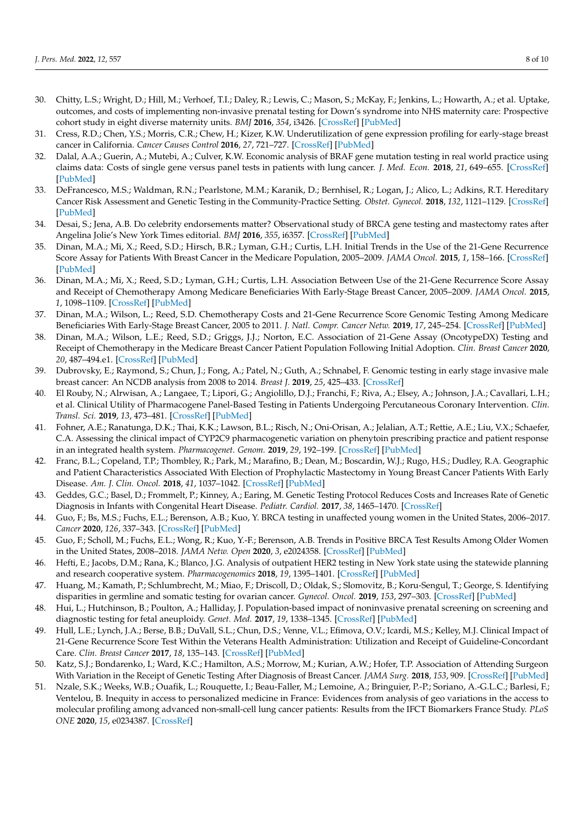- 30. Chitty, L.S.; Wright, D.; Hill, M.; Verhoef, T.I.; Daley, R.; Lewis, C.; Mason, S.; McKay, F.; Jenkins, L.; Howarth, A.; et al. Uptake, outcomes, and costs of implementing non-invasive prenatal testing for Down's syndrome into NHS maternity care: Prospective cohort study in eight diverse maternity units. *BMJ* **2016**, *354*, i3426. [\[CrossRef\]](http://doi.org/10.1136/bmj.i3426) [\[PubMed\]](http://www.ncbi.nlm.nih.gov/pubmed/27378786)
- 31. Cress, R.D.; Chen, Y.S.; Morris, C.R.; Chew, H.; Kizer, K.W. Underutilization of gene expression profiling for early-stage breast cancer in California. *Cancer Causes Control* **2016**, *27*, 721–727. [\[CrossRef\]](http://doi.org/10.1007/s10552-016-0743-4) [\[PubMed\]](http://www.ncbi.nlm.nih.gov/pubmed/27097910)
- 32. Dalal, A.A.; Guerin, A.; Mutebi, A.; Culver, K.W. Economic analysis of BRAF gene mutation testing in real world practice using claims data: Costs of single gene versus panel tests in patients with lung cancer. *J. Med. Econ.* **2018**, *21*, 649–655. [\[CrossRef\]](http://doi.org/10.1080/13696998.2018.1450261) [\[PubMed\]](http://www.ncbi.nlm.nih.gov/pubmed/29516752)
- 33. DeFrancesco, M.S.; Waldman, R.N.; Pearlstone, M.M.; Karanik, D.; Bernhisel, R.; Logan, J.; Alico, L.; Adkins, R.T. Hereditary Cancer Risk Assessment and Genetic Testing in the Community-Practice Setting. *Obstet. Gynecol.* **2018**, *132*, 1121–1129. [\[CrossRef\]](http://doi.org/10.1097/AOG.0000000000002916) [\[PubMed\]](http://www.ncbi.nlm.nih.gov/pubmed/30303907)
- 34. Desai, S.; Jena, A.B. Do celebrity endorsements matter? Observational study of BRCA gene testing and mastectomy rates after Angelina Jolie's New York Times editorial. *BMJ* **2016**, *355*, i6357. [\[CrossRef\]](http://doi.org/10.1136/bmj.i6357) [\[PubMed\]](http://www.ncbi.nlm.nih.gov/pubmed/27974323)
- 35. Dinan, M.A.; Mi, X.; Reed, S.D.; Hirsch, B.R.; Lyman, G.H.; Curtis, L.H. Initial Trends in the Use of the 21-Gene Recurrence Score Assay for Patients With Breast Cancer in the Medicare Population, 2005–2009. *JAMA Oncol.* **2015**, *1*, 158–166. [\[CrossRef\]](http://doi.org/10.1001/jamaoncol.2015.43) [\[PubMed\]](http://www.ncbi.nlm.nih.gov/pubmed/26181015)
- 36. Dinan, M.A.; Mi, X.; Reed, S.D.; Lyman, G.H.; Curtis, L.H. Association Between Use of the 21-Gene Recurrence Score Assay and Receipt of Chemotherapy Among Medicare Beneficiaries With Early-Stage Breast Cancer, 2005–2009. *JAMA Oncol.* **2015**, *1*, 1098–1109. [\[CrossRef\]](http://doi.org/10.1001/jamaoncol.2015.2722) [\[PubMed\]](http://www.ncbi.nlm.nih.gov/pubmed/26313372)
- 37. Dinan, M.A.; Wilson, L.; Reed, S.D. Chemotherapy Costs and 21-Gene Recurrence Score Genomic Testing Among Medicare Beneficiaries With Early-Stage Breast Cancer, 2005 to 2011. *J. Natl. Compr. Cancer Netw.* **2019**, *17*, 245–254. [\[CrossRef\]](http://doi.org/10.6004/jnccn.2018.7097) [\[PubMed\]](http://www.ncbi.nlm.nih.gov/pubmed/30865923)
- 38. Dinan, M.A.; Wilson, L.E.; Reed, S.D.; Griggs, J.J.; Norton, E.C. Association of 21-Gene Assay (OncotypeDX) Testing and Receipt of Chemotherapy in the Medicare Breast Cancer Patient Population Following Initial Adoption. *Clin. Breast Cancer* **2020**, *20*, 487–494.e1. [\[CrossRef\]](http://doi.org/10.1016/j.clbc.2020.05.010) [\[PubMed\]](http://www.ncbi.nlm.nih.gov/pubmed/32653473)
- 39. Dubrovsky, E.; Raymond, S.; Chun, J.; Fong, A.; Patel, N.; Guth, A.; Schnabel, F. Genomic testing in early stage invasive male breast cancer: An NCDB analysis from 2008 to 2014. *Breast J.* **2019**, *25*, 425–433. [\[CrossRef\]](http://doi.org/10.1111/tbj.13235)
- 40. El Rouby, N.; Alrwisan, A.; Langaee, T.; Lipori, G.; Angiolillo, D.J.; Franchi, F.; Riva, A.; Elsey, A.; Johnson, J.A.; Cavallari, L.H.; et al. Clinical Utility of Pharmacogene Panel-Based Testing in Patients Undergoing Percutaneous Coronary Intervention. *Clin. Transl. Sci.* **2019**, *13*, 473–481. [\[CrossRef\]](http://doi.org/10.1111/cts.12729) [\[PubMed\]](http://www.ncbi.nlm.nih.gov/pubmed/31758664)
- 41. Fohner, A.E.; Ranatunga, D.K.; Thai, K.K.; Lawson, B.L.; Risch, N.; Oni-Orisan, A.; Jelalian, A.T.; Rettie, A.E.; Liu, V.X.; Schaefer, C.A. Assessing the clinical impact of CYP2C9 pharmacogenetic variation on phenytoin prescribing practice and patient response in an integrated health system. *Pharmacogenet. Genom.* **2019**, *29*, 192–199. [\[CrossRef\]](http://doi.org/10.1097/FPC.0000000000000383) [\[PubMed\]](http://www.ncbi.nlm.nih.gov/pubmed/31461080)
- 42. Franc, B.L.; Copeland, T.P.; Thombley, R.; Park, M.; Marafino, B.; Dean, M.; Boscardin, W.J.; Rugo, H.S.; Dudley, R.A. Geographic and Patient Characteristics Associated With Election of Prophylactic Mastectomy in Young Breast Cancer Patients With Early Disease. *Am. J. Clin. Oncol.* **2018**, *41*, 1037–1042. [\[CrossRef\]](http://doi.org/10.1097/COC.0000000000000446) [\[PubMed\]](http://www.ncbi.nlm.nih.gov/pubmed/32463216)
- 43. Geddes, G.C.; Basel, D.; Frommelt, P.; Kinney, A.; Earing, M. Genetic Testing Protocol Reduces Costs and Increases Rate of Genetic Diagnosis in Infants with Congenital Heart Disease. *Pediatr. Cardiol.* **2017**, *38*, 1465–1470. [\[CrossRef\]](http://doi.org/10.1007/s00246-017-1685-7)
- 44. Guo, F.; Bs, M.S.; Fuchs, E.L.; Berenson, A.B.; Kuo, Y. BRCA testing in unaffected young women in the United States, 2006–2017. *Cancer* **2020**, *126*, 337–343. [\[CrossRef\]](http://doi.org/10.1002/cncr.32536) [\[PubMed\]](http://www.ncbi.nlm.nih.gov/pubmed/31568561)
- 45. Guo, F.; Scholl, M.; Fuchs, E.L.; Wong, R.; Kuo, Y.-F.; Berenson, A.B. Trends in Positive BRCA Test Results Among Older Women in the United States, 2008–2018. *JAMA Netw. Open* **2020**, *3*, e2024358. [\[CrossRef\]](http://doi.org/10.1001/jamanetworkopen.2020.24358) [\[PubMed\]](http://www.ncbi.nlm.nih.gov/pubmed/33151316)
- 46. Hefti, E.; Jacobs, D.M.; Rana, K.; Blanco, J.G. Analysis of outpatient HER2 testing in New York state using the statewide planning and research cooperative system. *Pharmacogenomics* **2018**, *19*, 1395–1401. [\[CrossRef\]](http://doi.org/10.2217/pgs-2018-0120) [\[PubMed\]](http://www.ncbi.nlm.nih.gov/pubmed/30398082)
- 47. Huang, M.; Kamath, P.; Schlumbrecht, M.; Miao, F.; Driscoll, D.; Oldak, S.; Slomovitz, B.; Koru-Sengul, T.; George, S. Identifying disparities in germline and somatic testing for ovarian cancer. *Gynecol. Oncol.* **2019**, *153*, 297–303. [\[CrossRef\]](http://doi.org/10.1016/j.ygyno.2019.03.007) [\[PubMed\]](http://www.ncbi.nlm.nih.gov/pubmed/30890269)
- 48. Hui, L.; Hutchinson, B.; Poulton, A.; Halliday, J. Population-based impact of noninvasive prenatal screening on screening and diagnostic testing for fetal aneuploidy. *Genet. Med.* **2017**, *19*, 1338–1345. [\[CrossRef\]](http://doi.org/10.1038/gim.2017.55) [\[PubMed\]](http://www.ncbi.nlm.nih.gov/pubmed/28518169)
- 49. Hull, L.E.; Lynch, J.A.; Berse, B.B.; DuVall, S.L.; Chun, D.S.; Venne, V.L.; Efimova, O.V.; Icardi, M.S.; Kelley, M.J. Clinical Impact of 21-Gene Recurrence Score Test Within the Veterans Health Administration: Utilization and Receipt of Guideline-Concordant Care. *Clin. Breast Cancer* **2017**, *18*, 135–143. [\[CrossRef\]](http://doi.org/10.1016/j.clbc.2017.11.018) [\[PubMed\]](http://www.ncbi.nlm.nih.gov/pubmed/29306660)
- 50. Katz, S.J.; Bondarenko, I.; Ward, K.C.; Hamilton, A.S.; Morrow, M.; Kurian, A.W.; Hofer, T.P. Association of Attending Surgeon With Variation in the Receipt of Genetic Testing After Diagnosis of Breast Cancer. *JAMA Surg.* **2018**, *153*, 909. [\[CrossRef\]](http://doi.org/10.1001/jamasurg.2018.2001) [\[PubMed\]](http://www.ncbi.nlm.nih.gov/pubmed/29971344)
- 51. Nzale, S.K.; Weeks, W.B.; Ouafik, L.; Rouquette, I.; Beau-Faller, M.; Lemoine, A.; Bringuier, P.-P.; Soriano, A.-G.L.C.; Barlesi, F.; Ventelou, B. Inequity in access to personalized medicine in France: Evidences from analysis of geo variations in the access to molecular profiling among advanced non-small-cell lung cancer patients: Results from the IFCT Biomarkers France Study. *PLoS ONE* **2020**, *15*, e0234387. [\[CrossRef\]](http://doi.org/10.1371/journal.pone.0234387)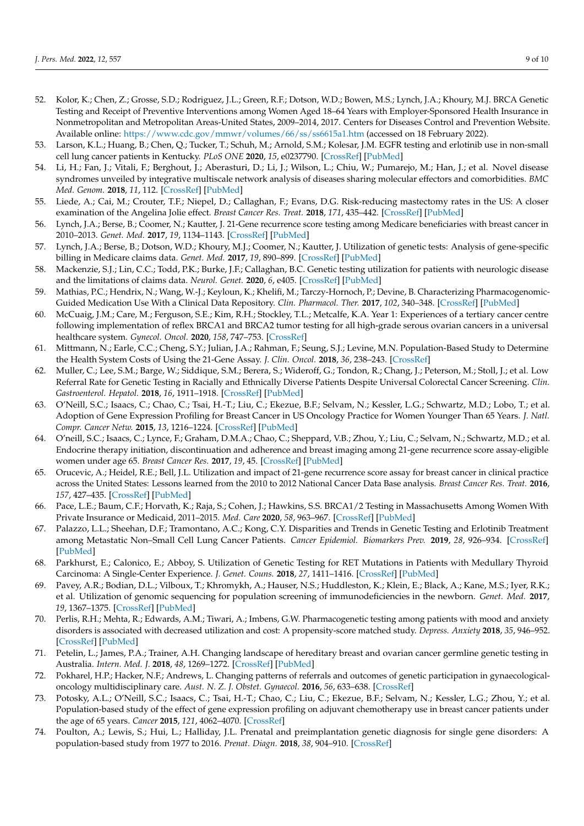- 52. Kolor, K.; Chen, Z.; Grosse, S.D.; Rodriguez, J.L.; Green, R.F.; Dotson, W.D.; Bowen, M.S.; Lynch, J.A.; Khoury, M.J. BRCA Genetic Testing and Receipt of Preventive Interventions among Women Aged 18–64 Years with Employer-Sponsored Health Insurance in Nonmetropolitan and Metropolitan Areas-United States, 2009–2014, 2017. Centers for Diseases Control and Prevention Website. Available online: <https://www.cdc.gov/mmwr/volumes/66/ss/ss6615a1.htm> (accessed on 18 February 2022).
- 53. Larson, K.L.; Huang, B.; Chen, Q.; Tucker, T.; Schuh, M.; Arnold, S.M.; Kolesar, J.M. EGFR testing and erlotinib use in non-small cell lung cancer patients in Kentucky. *PLoS ONE* **2020**, *15*, e0237790. [\[CrossRef\]](http://doi.org/10.1371/journal.pone.0237790) [\[PubMed\]](http://www.ncbi.nlm.nih.gov/pubmed/32810185)
- 54. Li, H.; Fan, J.; Vitali, F.; Berghout, J.; Aberasturi, D.; Li, J.; Wilson, L.; Chiu, W.; Pumarejo, M.; Han, J.; et al. Novel disease syndromes unveiled by integrative multiscale network analysis of diseases sharing molecular effectors and comorbidities. *BMC Med. Genom.* **2018**, *11*, 112. [\[CrossRef\]](http://doi.org/10.1186/s12920-018-0428-9) [\[PubMed\]](http://www.ncbi.nlm.nih.gov/pubmed/30598089)
- 55. Liede, A.; Cai, M.; Crouter, T.F.; Niepel, D.; Callaghan, F.; Evans, D.G. Risk-reducing mastectomy rates in the US: A closer examination of the Angelina Jolie effect. *Breast Cancer Res. Treat.* **2018**, *171*, 435–442. [\[CrossRef\]](http://doi.org/10.1007/s10549-018-4824-9) [\[PubMed\]](http://www.ncbi.nlm.nih.gov/pubmed/29808287)
- 56. Lynch, J.A.; Berse, B.; Coomer, N.; Kautter, J. 21-Gene recurrence score testing among Medicare beneficiaries with breast cancer in 2010–2013. *Genet. Med.* **2017**, *19*, 1134–1143. [\[CrossRef\]](http://doi.org/10.1038/gim.2017.19) [\[PubMed\]](http://www.ncbi.nlm.nih.gov/pubmed/28333918)
- 57. Lynch, J.A.; Berse, B.; Dotson, W.D.; Khoury, M.J.; Coomer, N.; Kautter, J. Utilization of genetic tests: Analysis of gene-specific billing in Medicare claims data. *Genet. Med.* **2017**, *19*, 890–899. [\[CrossRef\]](http://doi.org/10.1038/gim.2016.209) [\[PubMed\]](http://www.ncbi.nlm.nih.gov/pubmed/28125086)
- 58. Mackenzie, S.J.; Lin, C.C.; Todd, P.K.; Burke, J.F.; Callaghan, B.C. Genetic testing utilization for patients with neurologic disease and the limitations of claims data. *Neurol. Genet.* **2020**, *6*, e405. [\[CrossRef\]](http://doi.org/10.1212/NXG.0000000000000405) [\[PubMed\]](http://www.ncbi.nlm.nih.gov/pubmed/32185241)
- 59. Mathias, P.C.; Hendrix, N.; Wang, W.-J.; Keyloun, K.; Khelifi, M.; Tarczy-Hornoch, P.; Devine, B. Characterizing Pharmacogenomic-Guided Medication Use With a Clinical Data Repository. *Clin. Pharmacol. Ther.* **2017**, *102*, 340–348. [\[CrossRef\]](http://doi.org/10.1002/cpt.611) [\[PubMed\]](http://www.ncbi.nlm.nih.gov/pubmed/28073152)
- 60. McCuaig, J.M.; Care, M.; Ferguson, S.E.; Kim, R.H.; Stockley, T.L.; Metcalfe, K.A. Year 1: Experiences of a tertiary cancer centre following implementation of reflex BRCA1 and BRCA2 tumor testing for all high-grade serous ovarian cancers in a universal healthcare system. *Gynecol. Oncol.* **2020**, *158*, 747–753. [\[CrossRef\]](http://doi.org/10.1016/j.ygyno.2020.06.507)
- 61. Mittmann, N.; Earle, C.C.; Cheng, S.Y.; Julian, J.A.; Rahman, F.; Seung, S.J.; Levine, M.N. Population-Based Study to Determine the Health System Costs of Using the 21-Gene Assay. *J. Clin. Oncol.* **2018**, *36*, 238–243. [\[CrossRef\]](http://doi.org/10.1200/JCO.2017.74.2577)
- 62. Muller, C.; Lee, S.M.; Barge, W.; Siddique, S.M.; Berera, S.; Wideroff, G.; Tondon, R.; Chang, J.; Peterson, M.; Stoll, J.; et al. Low Referral Rate for Genetic Testing in Racially and Ethnically Diverse Patients Despite Universal Colorectal Cancer Screening. *Clin. Gastroenterol. Hepatol.* **2018**, *16*, 1911–1918. [\[CrossRef\]](http://doi.org/10.1016/j.cgh.2018.08.038) [\[PubMed\]](http://www.ncbi.nlm.nih.gov/pubmed/30130624)
- 63. O'Neill, S.C.; Isaacs, C.; Chao, C.; Tsai, H.-T.; Liu, C.; Ekezue, B.F.; Selvam, N.; Kessler, L.G.; Schwartz, M.D.; Lobo, T.; et al. Adoption of Gene Expression Profiling for Breast Cancer in US Oncology Practice for Women Younger Than 65 Years. *J. Natl. Compr. Cancer Netw.* **2015**, *13*, 1216–1224. [\[CrossRef\]](http://doi.org/10.6004/jnccn.2015.0150) [\[PubMed\]](http://www.ncbi.nlm.nih.gov/pubmed/26483061)
- 64. O'neill, S.C.; Isaacs, C.; Lynce, F.; Graham, D.M.A.; Chao, C.; Sheppard, V.B.; Zhou, Y.; Liu, C.; Selvam, N.; Schwartz, M.D.; et al. Endocrine therapy initiation, discontinuation and adherence and breast imaging among 21-gene recurrence score assay-eligible women under age 65. *Breast Cancer Res.* **2017**, *19*, 45. [\[CrossRef\]](http://doi.org/10.1186/s13058-017-0837-2) [\[PubMed\]](http://www.ncbi.nlm.nih.gov/pubmed/28359319)
- 65. Orucevic, A.; Heidel, R.E.; Bell, J.L. Utilization and impact of 21-gene recurrence score assay for breast cancer in clinical practice across the United States: Lessons learned from the 2010 to 2012 National Cancer Data Base analysis. *Breast Cancer Res. Treat.* **2016**, *157*, 427–435. [\[CrossRef\]](http://doi.org/10.1007/s10549-016-3833-9) [\[PubMed\]](http://www.ncbi.nlm.nih.gov/pubmed/27206678)
- 66. Pace, L.E.; Baum, C.F.; Horvath, K.; Raja, S.; Cohen, J.; Hawkins, S.S. BRCA1/2 Testing in Massachusetts Among Women With Private Insurance or Medicaid, 2011–2015. *Med. Care* **2020**, *58*, 963–967. [\[CrossRef\]](http://doi.org/10.1097/MLR.0000000000001405) [\[PubMed\]](http://www.ncbi.nlm.nih.gov/pubmed/32925457)
- 67. Palazzo, L.L.; Sheehan, D.F.; Tramontano, A.C.; Kong, C.Y. Disparities and Trends in Genetic Testing and Erlotinib Treatment among Metastatic Non–Small Cell Lung Cancer Patients. *Cancer Epidemiol. Biomarkers Prev.* **2019**, *28*, 926–934. [\[CrossRef\]](http://doi.org/10.1158/1055-9965.EPI-18-0917) [\[PubMed\]](http://www.ncbi.nlm.nih.gov/pubmed/30787053)
- 68. Parkhurst, E.; Calonico, E.; Abboy, S. Utilization of Genetic Testing for RET Mutations in Patients with Medullary Thyroid Carcinoma: A Single-Center Experience. *J. Genet. Couns.* **2018**, *27*, 1411–1416. [\[CrossRef\]](http://doi.org/10.1007/s10897-018-0273-1) [\[PubMed\]](http://www.ncbi.nlm.nih.gov/pubmed/29951718)
- 69. Pavey, A.R.; Bodian, D.L.; Vilboux, T.; Khromykh, A.; Hauser, N.S.; Huddleston, K.; Klein, E.; Black, A.; Kane, M.S.; Iyer, R.K.; et al. Utilization of genomic sequencing for population screening of immunodeficiencies in the newborn. *Genet. Med.* **2017**, *19*, 1367–1375. [\[CrossRef\]](http://doi.org/10.1038/gim.2017.57) [\[PubMed\]](http://www.ncbi.nlm.nih.gov/pubmed/28617419)
- 70. Perlis, R.H.; Mehta, R.; Edwards, A.M.; Tiwari, A.; Imbens, G.W. Pharmacogenetic testing among patients with mood and anxiety disorders is associated with decreased utilization and cost: A propensity-score matched study. *Depress. Anxiety* **2018**, *35*, 946–952. [\[CrossRef\]](http://doi.org/10.1002/da.22742) [\[PubMed\]](http://www.ncbi.nlm.nih.gov/pubmed/29734486)
- 71. Petelin, L.; James, P.A.; Trainer, A.H. Changing landscape of hereditary breast and ovarian cancer germline genetic testing in Australia. *Intern. Med. J.* **2018**, *48*, 1269–1272. [\[CrossRef\]](http://doi.org/10.1111/imj.14058) [\[PubMed\]](http://www.ncbi.nlm.nih.gov/pubmed/30288903)
- 72. Pokharel, H.P.; Hacker, N.F.; Andrews, L. Changing patterns of referrals and outcomes of genetic participation in gynaecologicaloncology multidisciplinary care. *Aust. N. Z. J. Obstet. Gynaecol.* **2016**, *56*, 633–638. [\[CrossRef\]](http://doi.org/10.1111/ajo.12504)
- 73. Potosky, A.L.; O'Neill, S.C.; Isaacs, C.; Tsai, H.-T.; Chao, C.; Liu, C.; Ekezue, B.F.; Selvam, N.; Kessler, L.G.; Zhou, Y.; et al. Population-based study of the effect of gene expression profiling on adjuvant chemotherapy use in breast cancer patients under the age of 65 years. *Cancer* **2015**, *121*, 4062–4070. [\[CrossRef\]](http://doi.org/10.1002/cncr.29621)
- 74. Poulton, A.; Lewis, S.; Hui, L.; Halliday, J.L. Prenatal and preimplantation genetic diagnosis for single gene disorders: A population-based study from 1977 to 2016. *Prenat. Diagn.* **2018**, *38*, 904–910. [\[CrossRef\]](http://doi.org/10.1002/pd.5352)